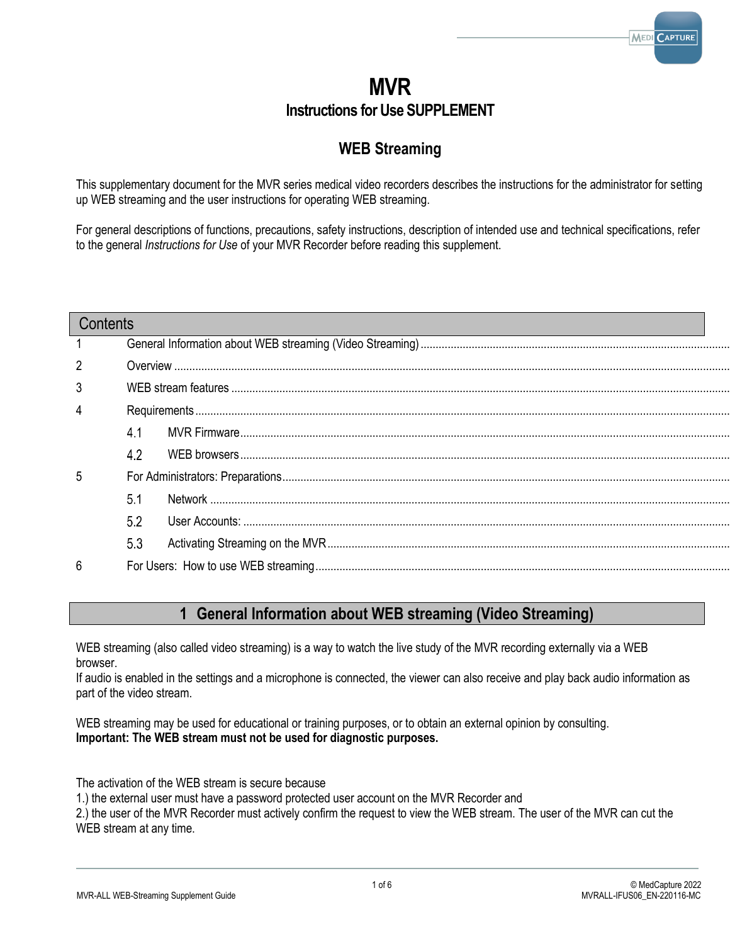# **MVR Instructions for Use SUPPLEMENT**

# **WEB Streaming**

This supplementary document for the MVR series medical video recorders describes the instructions for the administrator for setting up WEB streaming and the user instructions for operating WEB streaming.

For general descriptions of functions, precautions, safety instructions, description of intended use and technical specifications, refer to the general *Instructions for Use* of your MVR Recorder before reading this supplement.

## **Contents**

| 2              |     |  |  |
|----------------|-----|--|--|
| 3              |     |  |  |
| $\overline{4}$ |     |  |  |
|                | 4.1 |  |  |
|                | 42  |  |  |
| 5              |     |  |  |
|                | 5.1 |  |  |
|                | 5.2 |  |  |
|                | 5.3 |  |  |
| 6              |     |  |  |

## **1 General Information about WEB streaming (Video Streaming)**

<span id="page-0-0"></span>WEB streaming (also called video streaming) is a way to watch the live study of the MVR recording externally via a WEB browser.

If audio is enabled in the settings and a microphone is connected, the viewer can also receive and play back audio information as part of the video stream.

WEB streaming may be used for educational or training purposes, or to obtain an external opinion by consulting. **Important: The WEB stream must not be used for diagnostic purposes.**

The activation of the WEB stream is secure because

1.) the external user must have a password protected user account on the MVR Recorder and

2.) the user of the MVR Recorder must actively confirm the request to view the WEB stream. The user of the MVR can cut the WEB stream at any time.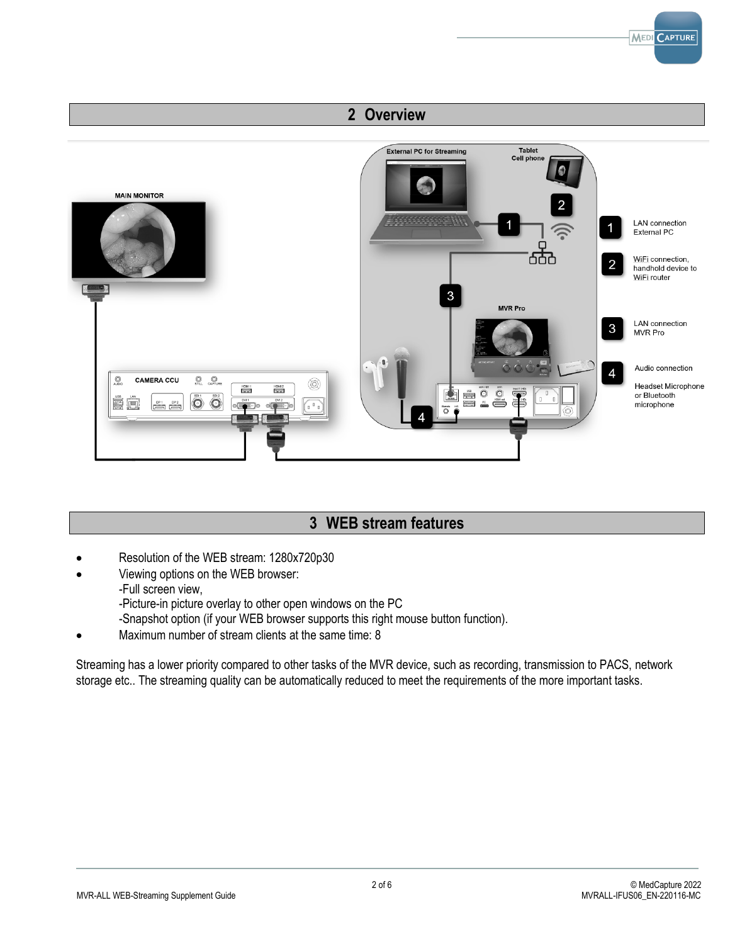# **2 Overview**

<span id="page-1-0"></span>

## **3 WEB stream features**

- <span id="page-1-1"></span>• Resolution of the WEB stream: 1280x720p30
	- Viewing options on the WEB browser:
		- -Full screen view,
		- -Picture-in picture overlay to other open windows on the PC
		- -Snapshot option (if your WEB browser supports this right mouse button function).
- Maximum number of stream clients at the same time: 8

Streaming has a lower priority compared to other tasks of the MVR device, such as recording, transmission to PACS, network storage etc.. The streaming quality can be automatically reduced to meet the requirements of the more important tasks.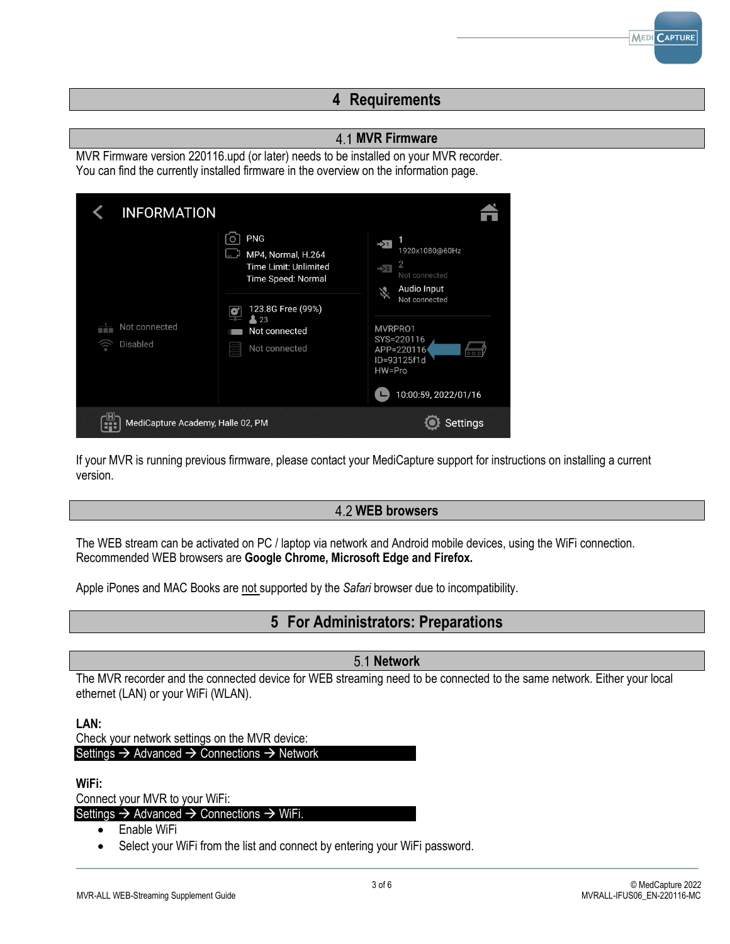## **4 Requirements**

## <span id="page-2-1"></span>**MVR Firmware**

<span id="page-2-0"></span>MVR Firmware version 220116.upd (or later) needs to be installed on your MVR recorder. You can find the currently installed firmware in the overview on the information page.

| <b>INFORMATION</b>                           |                                                                                      |                                                                                                                              |
|----------------------------------------------|--------------------------------------------------------------------------------------|------------------------------------------------------------------------------------------------------------------------------|
|                                              | <b>PNG</b><br>O<br>MP4, Normal, H.264<br>Time Limit: Unlimited<br>Time Speed: Normal | $\rightarrow$ 1<br>1920x1080@60Hz<br>$\overline{2}$<br>$\rightarrow$ 2<br>Not connected<br>Audio Input<br>义<br>Not connected |
| Not connected<br>商店館<br>Disabled<br><u>ේ</u> | 123.8G Free (99%)<br>C<br>23<br>Not connected<br>Not connected<br>Ĭ.                 | MVRPR01<br>SYS=220116<br>APP=220116<br>$\overline{\circ\circ}$<br>ID=93125f1d<br>HW=Pro<br>10:00:59, 2022/01/16<br>L         |
| MediCapture Academy, Halle 02, PM<br>        |                                                                                      | <b>Settings</b>                                                                                                              |

If your MVR is running previous firmware, please contact your MediCapture support for instructions on installing a current version.

## <span id="page-2-2"></span>**WEB browsers**

The WEB stream can be activated on PC / laptop via network and Android mobile devices, using the WiFi connection. Recommended WEB browsers are **Google Chrome, Microsoft Edge and Firefox.**

<span id="page-2-3"></span>Apple iPones and MAC Books are not supported by the *Safari* browser due to incompatibility.

## **5 For Administrators: Preparations**

## <span id="page-2-4"></span>**5.1 Network**

The MVR recorder and the connected device for WEB streaming need to be connected to the same network. Either your local ethernet (LAN) or your WiFi (WLAN).

#### **LAN:**

Check your network settings on the MVR device: Settings → Advanced → Connections → Network

#### **WiFi:**

Connect your MVR to your WiFi:

Settings → Advanced → Connections → WiFi.

- Enable WiFi
- Select your WiFi from the list and connect by entering your WiFi password.

**MEDI CAPTURE**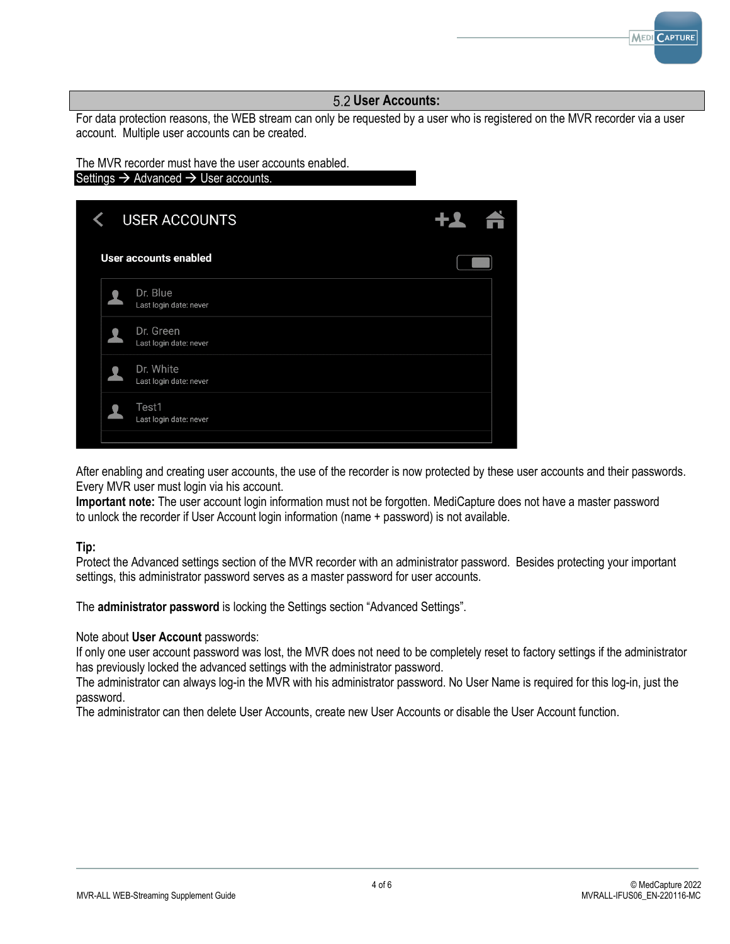

After enabling and creating user accounts, the use of the recorder is now protected by these user accounts and their passwords. Every MVR user must login via his account.

**Important note:** The user account login information must not be forgotten. MediCapture does not have a master password to unlock the recorder if User Account login information (name + password) is not available.

## **Tip:**

Protect the Advanced settings section of the MVR recorder with an administrator password. Besides protecting your important settings, this administrator password serves as a master password for user accounts.

The **administrator password** is locking the Settings section "Advanced Settings".

## Note about **User Account** passwords:

If only one user account password was lost, the MVR does not need to be completely reset to factory settings if the administrator has previously locked the advanced settings with the administrator password.

The administrator can always log-in the MVR with his administrator password. No User Name is required for this log-in, just the password.

The administrator can then delete User Accounts, create new User Accounts or disable the User Account function.

<span id="page-3-0"></span>**MEDI CAPTURE**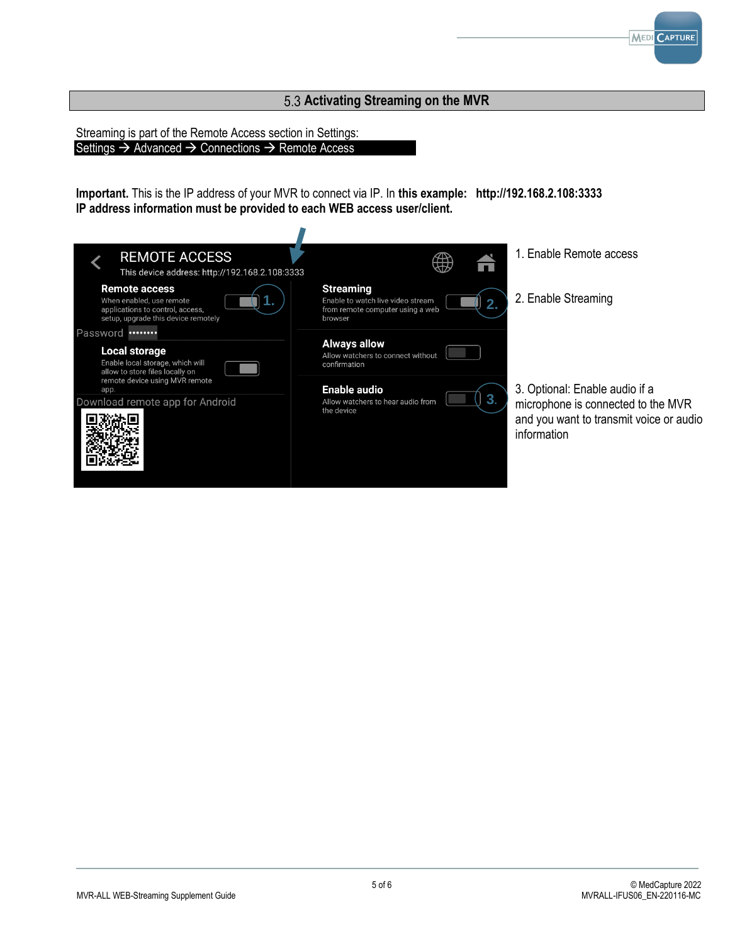## <span id="page-4-0"></span>**Activating Streaming on the MVR**

Streaming is part of the Remote Access section in Settings: Settings → Advanced → Connections → Remote Access

**Important.** This is the IP address of your MVR to connect via IP. In **this example: http://192.168.2.108:3333 IP address information must be provided to each WEB access user/client.**



**MEDI** CAPTURE